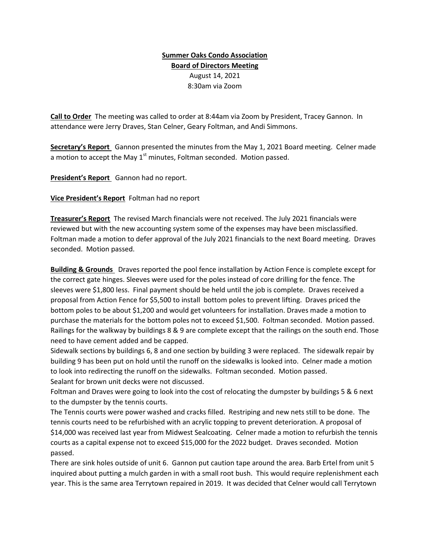## Summer Oaks Condo Association Board of Directors Meeting August 14, 2021 8:30am via Zoom

Call to Order The meeting was called to order at 8:44am via Zoom by President, Tracey Gannon. In attendance were Jerry Draves, Stan Celner, Geary Foltman, and Andi Simmons.

Secretary's Report Gannon presented the minutes from the May 1, 2021 Board meeting. Celner made a motion to accept the May  $1<sup>st</sup>$  minutes, Foltman seconded. Motion passed.

President's Report Gannon had no report.

Vice President's Report Foltman had no report

Treasurer's Report The revised March financials were not received. The July 2021 financials were reviewed but with the new accounting system some of the expenses may have been misclassified. Foltman made a motion to defer approval of the July 2021 financials to the next Board meeting. Draves seconded. Motion passed.

**Building & Grounds** Draves reported the pool fence installation by Action Fence is complete except for the correct gate hinges. Sleeves were used for the poles instead of core drilling for the fence. The sleeves were \$1,800 less. Final payment should be held until the job is complete. Draves received a proposal from Action Fence for \$5,500 to install bottom poles to prevent lifting. Draves priced the bottom poles to be about \$1,200 and would get volunteers for installation. Draves made a motion to purchase the materials for the bottom poles not to exceed \$1,500. Foltman seconded. Motion passed. Railings for the walkway by buildings 8 & 9 are complete except that the railings on the south end. Those need to have cement added and be capped.

Sidewalk sections by buildings 6, 8 and one section by building 3 were replaced. The sidewalk repair by building 9 has been put on hold until the runoff on the sidewalks is looked into. Celner made a motion to look into redirecting the runoff on the sidewalks. Foltman seconded. Motion passed. Sealant for brown unit decks were not discussed.

Foltman and Draves were going to look into the cost of relocating the dumpster by buildings 5 & 6 next to the dumpster by the tennis courts.

The Tennis courts were power washed and cracks filled. Restriping and new nets still to be done. The tennis courts need to be refurbished with an acrylic topping to prevent deterioration. A proposal of \$14,000 was received last year from Midwest Sealcoating. Celner made a motion to refurbish the tennis courts as a capital expense not to exceed \$15,000 for the 2022 budget. Draves seconded. Motion passed.

There are sink holes outside of unit 6. Gannon put caution tape around the area. Barb Ertel from unit 5 inquired about putting a mulch garden in with a small root bush. This would require replenishment each year. This is the same area Terrytown repaired in 2019. It was decided that Celner would call Terrytown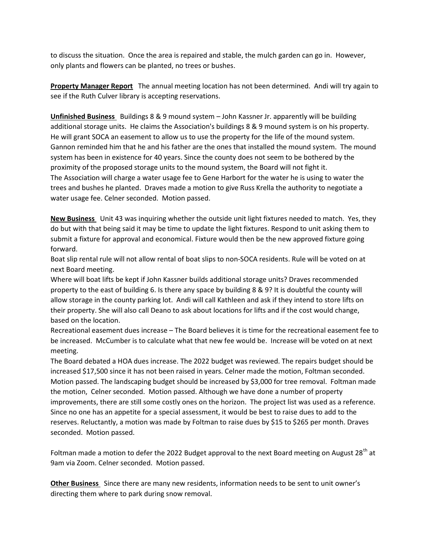to discuss the situation. Once the area is repaired and stable, the mulch garden can go in. However, only plants and flowers can be planted, no trees or bushes.

Property Manager Report The annual meeting location has not been determined. Andi will try again to see if the Ruth Culver library is accepting reservations.

Unfinished Business Buildings 8 & 9 mound system – John Kassner Jr. apparently will be building additional storage units. He claims the Association's buildings 8 & 9 mound system is on his property. He will grant SOCA an easement to allow us to use the property for the life of the mound system. Gannon reminded him that he and his father are the ones that installed the mound system. The mound system has been in existence for 40 years. Since the county does not seem to be bothered by the proximity of the proposed storage units to the mound system, the Board will not fight it. The Association will charge a water usage fee to Gene Harbort for the water he is using to water the trees and bushes he planted. Draves made a motion to give Russ Krella the authority to negotiate a water usage fee. Celner seconded. Motion passed.

New Business Unit 43 was inquiring whether the outside unit light fixtures needed to match. Yes, they do but with that being said it may be time to update the light fixtures. Respond to unit asking them to submit a fixture for approval and economical. Fixture would then be the new approved fixture going forward.

Boat slip rental rule will not allow rental of boat slips to non-SOCA residents. Rule will be voted on at next Board meeting.

Where will boat lifts be kept if John Kassner builds additional storage units? Draves recommended property to the east of building 6. Is there any space by building 8 & 9? It is doubtful the county will allow storage in the county parking lot. Andi will call Kathleen and ask if they intend to store lifts on their property. She will also call Deano to ask about locations for lifts and if the cost would change, based on the location.

Recreational easement dues increase – The Board believes it is time for the recreational easement fee to be increased. McCumber is to calculate what that new fee would be. Increase will be voted on at next meeting.

The Board debated a HOA dues increase. The 2022 budget was reviewed. The repairs budget should be increased \$17,500 since it has not been raised in years. Celner made the motion, Foltman seconded. Motion passed. The landscaping budget should be increased by \$3,000 for tree removal. Foltman made the motion, Celner seconded. Motion passed. Although we have done a number of property improvements, there are still some costly ones on the horizon. The project list was used as a reference. Since no one has an appetite for a special assessment, it would be best to raise dues to add to the reserves. Reluctantly, a motion was made by Foltman to raise dues by \$15 to \$265 per month. Draves seconded. Motion passed.

Foltman made a motion to defer the 2022 Budget approval to the next Board meeting on August 28<sup>th</sup> at 9am via Zoom. Celner seconded. Motion passed.

Other Business Since there are many new residents, information needs to be sent to unit owner's directing them where to park during snow removal.